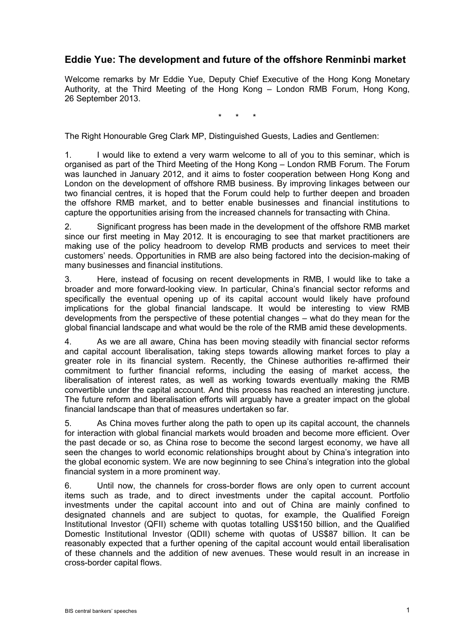## **Eddie Yue: The development and future of the offshore Renminbi market**

Welcome remarks by Mr Eddie Yue, Deputy Chief Executive of the Hong Kong Monetary Authority, at the Third Meeting of the Hong Kong – London RMB Forum, Hong Kong, 26 September 2013.

\* \* \*

The Right Honourable Greg Clark MP, Distinguished Guests, Ladies and Gentlemen:

1. I would like to extend a very warm welcome to all of you to this seminar, which is organised as part of the Third Meeting of the Hong Kong – London RMB Forum. The Forum was launched in January 2012, and it aims to foster cooperation between Hong Kong and London on the development of offshore RMB business. By improving linkages between our two financial centres, it is hoped that the Forum could help to further deepen and broaden the offshore RMB market, and to better enable businesses and financial institutions to capture the opportunities arising from the increased channels for transacting with China.

2. Significant progress has been made in the development of the offshore RMB market since our first meeting in May 2012. It is encouraging to see that market practitioners are making use of the policy headroom to develop RMB products and services to meet their customers' needs. Opportunities in RMB are also being factored into the decision-making of many businesses and financial institutions.

3. Here, instead of focusing on recent developments in RMB, I would like to take a broader and more forward-looking view. In particular, China's financial sector reforms and specifically the eventual opening up of its capital account would likely have profound implications for the global financial landscape. It would be interesting to view RMB developments from the perspective of these potential changes – what do they mean for the global financial landscape and what would be the role of the RMB amid these developments.

4. As we are all aware, China has been moving steadily with financial sector reforms and capital account liberalisation, taking steps towards allowing market forces to play a greater role in its financial system. Recently, the Chinese authorities re-affirmed their commitment to further financial reforms, including the easing of market access, the liberalisation of interest rates, as well as working towards eventually making the RMB convertible under the capital account. And this process has reached an interesting juncture. The future reform and liberalisation efforts will arguably have a greater impact on the global financial landscape than that of measures undertaken so far.

5. As China moves further along the path to open up its capital account, the channels for interaction with global financial markets would broaden and become more efficient. Over the past decade or so, as China rose to become the second largest economy, we have all seen the changes to world economic relationships brought about by China's integration into the global economic system. We are now beginning to see China's integration into the global financial system in a more prominent way.

6. Until now, the channels for cross-border flows are only open to current account items such as trade, and to direct investments under the capital account. Portfolio investments under the capital account into and out of China are mainly confined to designated channels and are subject to quotas, for example, the Qualified Foreign Institutional Investor (QFII) scheme with quotas totalling US\$150 billion, and the Qualified Domestic Institutional Investor (QDII) scheme with quotas of US\$87 billion. It can be reasonably expected that a further opening of the capital account would entail liberalisation of these channels and the addition of new avenues. These would result in an increase in cross-border capital flows.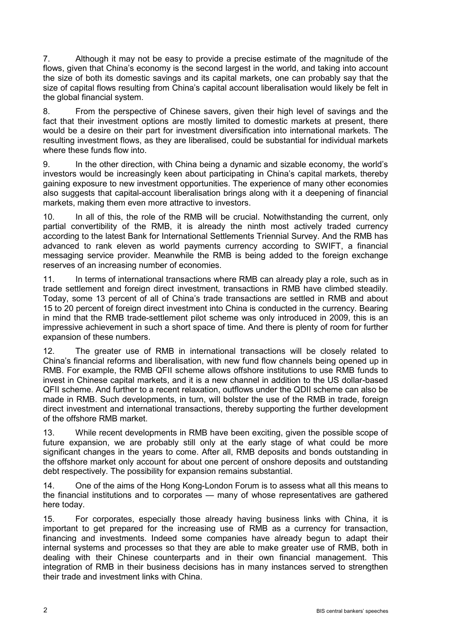7. Although it may not be easy to provide a precise estimate of the magnitude of the flows, given that China's economy is the second largest in the world, and taking into account the size of both its domestic savings and its capital markets, one can probably say that the size of capital flows resulting from China's capital account liberalisation would likely be felt in the global financial system.

8. From the perspective of Chinese savers, given their high level of savings and the fact that their investment options are mostly limited to domestic markets at present, there would be a desire on their part for investment diversification into international markets. The resulting investment flows, as they are liberalised, could be substantial for individual markets where these funds flow into.

9. In the other direction, with China being a dynamic and sizable economy, the world's investors would be increasingly keen about participating in China's capital markets, thereby gaining exposure to new investment opportunities. The experience of many other economies also suggests that capital-account liberalisation brings along with it a deepening of financial markets, making them even more attractive to investors.

10. In all of this, the role of the RMB will be crucial. Notwithstanding the current, only partial convertibility of the RMB, it is already the ninth most actively traded currency according to the latest Bank for International Settlements Triennial Survey. And the RMB has advanced to rank eleven as world payments currency according to SWIFT, a financial messaging service provider. Meanwhile the RMB is being added to the foreign exchange reserves of an increasing number of economies.

11. In terms of international transactions where RMB can already play a role, such as in trade settlement and foreign direct investment, transactions in RMB have climbed steadily. Today, some 13 percent of all of China's trade transactions are settled in RMB and about 15 to 20 percent of foreign direct investment into China is conducted in the currency. Bearing in mind that the RMB trade-settlement pilot scheme was only introduced in 2009, this is an impressive achievement in such a short space of time. And there is plenty of room for further expansion of these numbers.

12. The greater use of RMB in international transactions will be closely related to China's financial reforms and liberalisation, with new fund flow channels being opened up in RMB. For example, the RMB QFII scheme allows offshore institutions to use RMB funds to invest in Chinese capital markets, and it is a new channel in addition to the US dollar-based QFII scheme. And further to a recent relaxation, outflows under the QDII scheme can also be made in RMB. Such developments, in turn, will bolster the use of the RMB in trade, foreign direct investment and international transactions, thereby supporting the further development of the offshore RMB market.

13. While recent developments in RMB have been exciting, given the possible scope of future expansion, we are probably still only at the early stage of what could be more significant changes in the years to come. After all, RMB deposits and bonds outstanding in the offshore market only account for about one percent of onshore deposits and outstanding debt respectively. The possibility for expansion remains substantial.

14. One of the aims of the Hong Kong-London Forum is to assess what all this means to the financial institutions and to corporates — many of whose representatives are gathered here today.

15. For corporates, especially those already having business links with China, it is important to get prepared for the increasing use of RMB as a currency for transaction, financing and investments. Indeed some companies have already begun to adapt their internal systems and processes so that they are able to make greater use of RMB, both in dealing with their Chinese counterparts and in their own financial management. This integration of RMB in their business decisions has in many instances served to strengthen their trade and investment links with China.